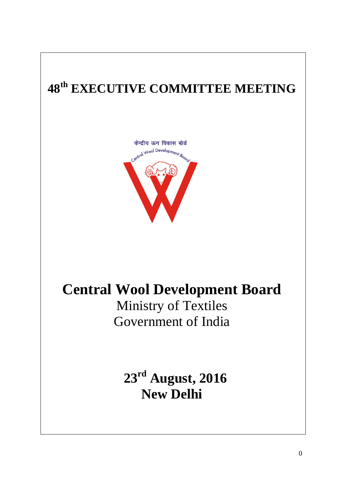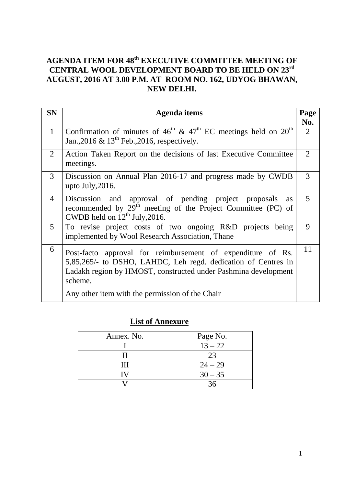#### **AGENDA ITEM FOR 48 th EXECUTIVE COMMITTEE MEETING OF CENTRAL WOOL DEVELOPMENT BOARD TO BE HELD ON 23rd AUGUST, 2016 AT 3.00 P.M. AT ROOM NO. 162, UDYOG BHAWAN, NEW DELHI.**

| <b>SN</b>      | <b>Agenda</b> items                                                                                                                                                                                       |                             |
|----------------|-----------------------------------------------------------------------------------------------------------------------------------------------------------------------------------------------------------|-----------------------------|
|                |                                                                                                                                                                                                           | Page<br>No.                 |
| $\mathbf{1}$   | Confirmation of minutes of 46 <sup>th</sup> & 47 <sup>th</sup> EC meetings held on 20 <sup>th</sup><br>Jan., 2016 & 13 <sup>th</sup> Feb., 2016, respectively.                                            | $\overline{2}$              |
| $\overline{2}$ | Action Taken Report on the decisions of last Executive Committee<br>meetings.                                                                                                                             | $\mathcal{D}_{\mathcal{L}}$ |
| $\mathfrak{Z}$ | Discussion on Annual Plan 2016-17 and progress made by CWDB<br>upto July, 2016.                                                                                                                           | 3                           |
| $\overline{4}$ | Discussion and approval of pending project proposals<br><b>as</b><br>recommended by 29 <sup>th</sup> meeting of the Project Committee (PC) of<br>CWDB held on $12^{th}$ July, 2016.                       | 5                           |
| $5^{\circ}$    | To revise project costs of two ongoing R&D projects being<br>implemented by Wool Research Association, Thane                                                                                              | 9                           |
| 6              | Post-facto approval for reimbursement of expenditure of Rs.<br>5,85,265/- to DSHO, LAHDC, Leh regd. dedication of Centres in<br>Ladakh region by HMOST, constructed under Pashmina development<br>scheme. | 11                          |
|                | Any other item with the permission of the Chair                                                                                                                                                           |                             |

#### **List of Annexure**

| Annex. No. | Page No.  |
|------------|-----------|
|            | $13 - 22$ |
|            | 23        |
|            | $24 - 29$ |
|            | $30 - 35$ |
|            |           |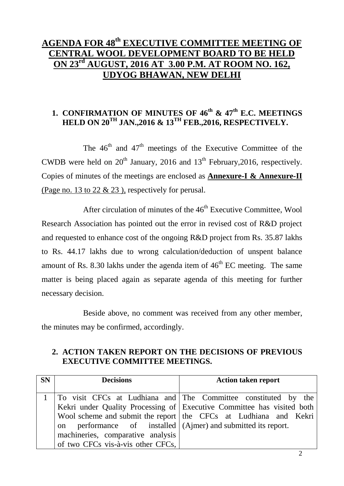## **AGENDA FOR 48 th EXECUTIVE COMMITTEE MEETING OF CENTRAL WOOL DEVELOPMENT BOARD TO BE HELD ON 23rd AUGUST, 2016 AT 3.00 P.M. AT ROOM NO. 162, UDYOG BHAWAN, NEW DELHI**

### **1. CONFIRMATION OF MINUTES OF 46th & 47th E.C. MEETINGS HELD ON 20TH JAN.,2016 & 13TH FEB.,2016, RESPECTIVELY.**

The  $46<sup>th</sup>$  and  $47<sup>th</sup>$  meetings of the Executive Committee of the CWDB were held on  $20<sup>th</sup>$  January, 2016 and 13<sup>th</sup> February, 2016, respectively. Copies of minutes of the meetings are enclosed as **Annexure-I & Annexure-II** (Page no. 13 to 22 & 23 ), respectively for perusal.

After circulation of minutes of the  $46<sup>th</sup>$  Executive Committee, Wool Research Association has pointed out the error in revised cost of R&D project and requested to enhance cost of the ongoing R&D project from Rs. 35.87 lakhs to Rs. 44.17 lakhs due to wrong calculation/deduction of unspent balance amount of Rs. 8.30 lakhs under the agenda item of  $46<sup>th</sup>$  EC meeting. The same matter is being placed again as separate agenda of this meeting for further necessary decision.

Beside above, no comment was received from any other member, the minutes may be confirmed, accordingly.

#### **2. ACTION TAKEN REPORT ON THE DECISIONS OF PREVIOUS EXECUTIVE COMMITTEE MEETINGS.**

| <b>SN</b> | <b>Decisions</b>                                                   | <b>Action taken report</b>                                             |
|-----------|--------------------------------------------------------------------|------------------------------------------------------------------------|
|           |                                                                    |                                                                        |
|           |                                                                    | To visit CFCs at Ludhiana and   The Committee constituted by the       |
|           |                                                                    | Kekri under Quality Processing of Executive Committee has visited both |
|           |                                                                    | Wool scheme and submit the report the CFCs at Ludhiana and Kekri       |
|           | performance of installed $(Aimer)$ and submitted its report.<br>on |                                                                        |
|           | machineries, comparative analysis                                  |                                                                        |
|           | of two CFCs vis-à-vis other CFCs,                                  |                                                                        |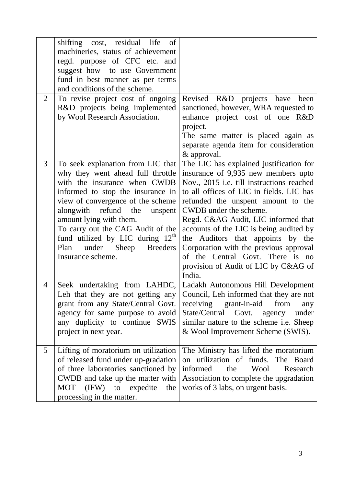|   | shifting cost, residual life of<br>machineries, status of achievement<br>regd. purpose of CFC etc. and<br>suggest how to use Government<br>fund in best manner as per terms<br>and conditions of the scheme.                                                                                                                                                                            |                                                                                                                                                                                                                                                                                                                                                                                                                                                                                                |
|---|-----------------------------------------------------------------------------------------------------------------------------------------------------------------------------------------------------------------------------------------------------------------------------------------------------------------------------------------------------------------------------------------|------------------------------------------------------------------------------------------------------------------------------------------------------------------------------------------------------------------------------------------------------------------------------------------------------------------------------------------------------------------------------------------------------------------------------------------------------------------------------------------------|
| 2 | To revise project cost of ongoing<br>R&D projects being implemented<br>by Wool Research Association.                                                                                                                                                                                                                                                                                    | Revised R&D projects have<br>been<br>sanctioned, however, WRA requested to<br>enhance project cost of one R&D<br>project.<br>The same matter is placed again as<br>separate agenda item for consideration<br>& approval.                                                                                                                                                                                                                                                                       |
| 3 | To seek explanation from LIC that<br>why they went ahead full throttle<br>with the insurance when CWDB<br>informed to stop the insurance in<br>view of convergence of the scheme<br>alongwith refund the<br>unspent<br>amount lying with them.<br>To carry out the CAG Audit of the<br>fund utilized by LIC during $12^{\text{m}}$<br>under Sheep Breeders<br>Plan<br>Insurance scheme. | The LIC has explained justification for<br>insurance of 9,935 new members upto<br>Nov., 2015 i.e. till instructions reached<br>to all offices of LIC in fields. LIC has<br>refunded the unspent amount to the<br>CWDB under the scheme.<br>Regd. C&AG Audit, LIC informed that<br>accounts of the LIC is being audited by<br>the Auditors that appoints by the<br>Corporation with the previous approval<br>of the Central Govt. There is no<br>provision of Audit of LIC by C&AG of<br>India. |
| 4 | grant from any State/Central Govt.<br>agency for same purpose to avoid<br>any duplicity to continue SWIS<br>project in next year.                                                                                                                                                                                                                                                       | Seek undertaking from LAHDC, Ladakh Autonomous Hill Development<br>Leh that they are not getting any Council, Leh informed that they are not<br>receiving grant-in-aid<br>from<br>any<br>State/Central Govt.<br>under<br>agency<br>similar nature to the scheme i.e. Sheep<br>& Wool Improvement Scheme (SWIS).                                                                                                                                                                                |
| 5 | Lifting of moratorium on utilization<br>of released fund under up-gradation<br>of three laboratories sanctioned by<br>CWDB and take up the matter with<br>MOT (IFW) to expedite<br>the<br>processing in the matter.                                                                                                                                                                     | The Ministry has lifted the moratorium<br>on utilization of funds. The Board<br>informed<br>the<br>Wool<br>Research<br>Association to complete the upgradation<br>works of 3 labs, on urgent basis.                                                                                                                                                                                                                                                                                            |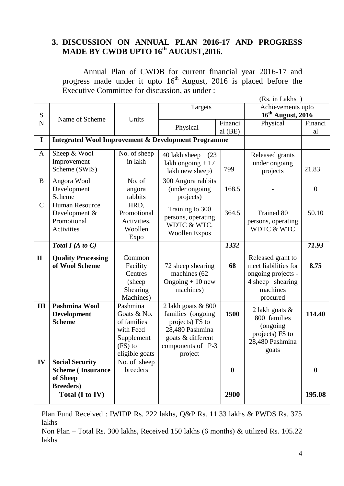#### **3. DISCUSSION ON ANNUAL PLAN 2016-17 AND PROGRESS MADE BY CWDB UPTO 16th AUGUST,2016.**

Annual Plan of CWDB for current financial year 2016-17 and progress made under it upto  $16<sup>th</sup>$  August, 2016 is placed before the Executive Committee for discussion, as under :

|                          | Total (I to IV)                                                |                          |                                         | 2900             |                                    | 195.08           |  |  |  |
|--------------------------|----------------------------------------------------------------|--------------------------|-----------------------------------------|------------------|------------------------------------|------------------|--|--|--|
|                          | <b>Breeders</b> )                                              |                          |                                         |                  |                                    |                  |  |  |  |
|                          | <b>Scheme</b> (Insurance<br>of Sheep                           |                          |                                         | $\boldsymbol{0}$ |                                    | $\boldsymbol{0}$ |  |  |  |
| IV                       | <b>Social Security</b>                                         | No. of sheep<br>breeders |                                         |                  |                                    |                  |  |  |  |
|                          |                                                                | eligible goats           | project                                 |                  |                                    |                  |  |  |  |
|                          |                                                                | $(FS)$ to                | components of P-3                       |                  | goats                              |                  |  |  |  |
|                          |                                                                | Supplement               | goats & different                       |                  | projects) FS to<br>28,480 Pashmina |                  |  |  |  |
|                          |                                                                | with Feed                | 28,480 Pashmina                         |                  | (ongoing)                          |                  |  |  |  |
|                          | <b>Scheme</b>                                                  | of families              | projects) FS to                         |                  | 800 families                       |                  |  |  |  |
|                          | Development                                                    | Goats & No.              | 2 lakh goats & 800<br>families (ongoing | 1500             | 2 lakh goats $\&$                  | 114.40           |  |  |  |
| III                      | <b>Pashmina Wool</b>                                           | Machines)<br>Pashmina    |                                         |                  | procured                           |                  |  |  |  |
|                          |                                                                | Shearing                 | machines)                               |                  | machines                           |                  |  |  |  |
|                          |                                                                | (sheep)                  | Ongoing $+10$ new                       |                  | 4 sheep shearing                   |                  |  |  |  |
|                          |                                                                | Centres                  | machines (62                            |                  | ongoing projects -                 |                  |  |  |  |
|                          | of Wool Scheme                                                 | Facility                 | 72 sheep shearing                       | 68               | meet liabilities for               | 8.75             |  |  |  |
| $\mathbf{I}$             | <b>Quality Processing</b>                                      | Common                   |                                         |                  | Released grant to                  |                  |  |  |  |
|                          | Total $I(A \text{ to } C)$                                     |                          |                                         | 1332             |                                    | 71.93            |  |  |  |
|                          |                                                                | Expo                     | <b>Woollen Expos</b>                    |                  |                                    |                  |  |  |  |
|                          | Promotional<br>Activities                                      | Activities,<br>Woollen   | WDTC & WTC,                             |                  | persons, operating<br>WDTC & WTC   |                  |  |  |  |
|                          | Development &                                                  | Promotional              | persons, operating                      | 364.5            | <b>Trained 80</b>                  | 50.10            |  |  |  |
| $\mathsf{C}$             | Human Resource                                                 | HRD,                     | Training to 300                         |                  |                                    |                  |  |  |  |
|                          | Scheme                                                         | rabbits                  | projects)                               |                  |                                    |                  |  |  |  |
|                          | Development                                                    | angora                   | (under ongoing                          | 168.5            |                                    | $\overline{0}$   |  |  |  |
| B                        | Angora Wool                                                    | No. of                   | 300 Angora rabbits                      |                  |                                    |                  |  |  |  |
|                          | Scheme (SWIS)                                                  |                          | lakh new sheep)                         | 799              | projects                           | 21.83            |  |  |  |
|                          | Improvement                                                    | in lakh                  | lakh ongoing $+17$                      |                  | under ongoing                      |                  |  |  |  |
| A                        | Sheep & Wool                                                   | No. of sheep             | 40 lakh sheep (23)                      |                  | Released grants                    |                  |  |  |  |
| $\mathbf I$              | <b>Integrated Wool Improvement &amp; Development Programme</b> |                          |                                         |                  |                                    |                  |  |  |  |
|                          |                                                                |                          | Physical                                | $al$ (BE)        |                                    | al               |  |  |  |
| ${\bf S}$<br>$\mathbf N$ | Name of Scheme                                                 | Units                    |                                         | Financi          | $16th$ August, 2016<br>Physical    | Financi          |  |  |  |
|                          |                                                                |                          | Targets                                 |                  | Achievements upto                  |                  |  |  |  |
|                          | (Rs. in Lakhs)                                                 |                          |                                         |                  |                                    |                  |  |  |  |
|                          |                                                                |                          |                                         |                  |                                    |                  |  |  |  |

Plan Fund Received : IWIDP Rs. 222 lakhs, Q&P Rs. 11.33 lakhs & PWDS Rs. 375 lakhs

Non Plan – Total Rs. 300 lakhs, Received 150 lakhs (6 months) & utilized Rs. 105.22 lakhs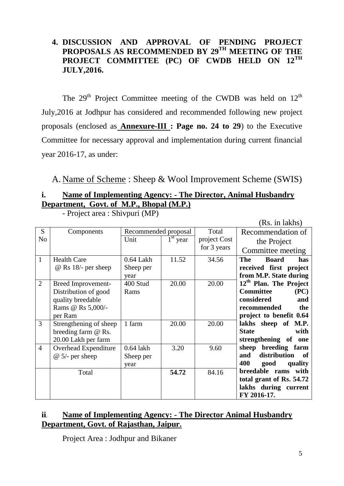#### **4. DISCUSSION AND APPROVAL OF PENDING PROJECT PROPOSALS AS RECOMMENDED BY 29TH MEETING OF THE PROJECT COMMITTEE (PC) OF CWDB HELD ON 12TH JULY,2016.**

The 29<sup>th</sup> Project Committee meeting of the CWDB was held on  $12<sup>th</sup>$ July,2016 at Jodhpur has considered and recommended following new project proposals (enclosed as **Annexure-III : Page no. 24 to 29**) to the Executive Committee for necessary approval and implementation during current financial year 2016-17, as under:

A. Name of Scheme : Sheep & Wool Improvement Scheme (SWIS)

### **i. Name of Implementing Agency: - The Director, Animal Husbandry Department, Govt. of M.P., Bhopal (M.P.)**

|                |                            | (INS. III IANIIS <i>)</i> |                          |              |                                    |
|----------------|----------------------------|---------------------------|--------------------------|--------------|------------------------------------|
| S              | Components                 | Recommended proposal      |                          | Total        | Recommendation of                  |
| N <sub>0</sub> |                            | Unit                      | $\overline{1^{st}}$ year | project Cost | the Project                        |
|                |                            |                           |                          | for 3 years  | Committee meeting                  |
| $\mathbf{1}$   | <b>Health Care</b>         | $0.64$ Lakh               | 11.52                    | 34.56        | <b>The</b><br><b>Board</b><br>has  |
|                | $\omega$ Rs 18/- per sheep | Sheep per                 |                          |              | received first project             |
|                |                            | year                      |                          |              | from M.P. State during             |
| $\overline{2}$ | Breed Improvement-         | 400 Stud                  | 20.00                    | 20.00        | 12 <sup>th</sup> Plan. The Project |
|                | Distribution of good       | Rams                      |                          |              | <b>Committee</b><br>(PC)           |
|                | quality breedable          |                           |                          |              | considered<br>and                  |
|                | Rams @ Rs 5,000/-          |                           |                          |              | recommended<br>the                 |
|                | per Ram                    |                           |                          |              | project to benefit 0.64            |
| 3              | Strengthening of sheep     | 1 farm                    | 20.00                    | 20.00        | lakhs sheep of M.P.                |
|                | breeding farm @ Rs.        |                           |                          |              | <b>State</b><br>with               |
|                | 20.00 Lakh per farm        |                           |                          |              | strengthening of<br>one            |
| $\overline{4}$ | Overhead Expenditure       | $0.64$ lakh               | 3.20                     | 9.60         | sheep breeding farm                |
|                | $@ 5/-$ per sheep          | Sheep per                 |                          |              | distribution<br>and<br>of          |
|                |                            | year                      |                          |              | 400<br>quality<br>good             |
|                | Total                      |                           | 54.72                    | 84.16        | breedable rams<br>with             |
|                |                            |                           |                          |              | total grant of Rs. 54.72           |
|                |                            |                           |                          |              | lakhs during current               |
|                |                            |                           |                          |              | FY 2016-17.                        |

- Project area : Shivpuri (MP)

#### **ii. Name of Implementing Agency: - The Director Animal Husbandry Department, Govt. of Rajasthan, Jaipur.**

Project Area : Jodhpur and Bikaner

 $(D<sub>s</sub>$  in lakhe)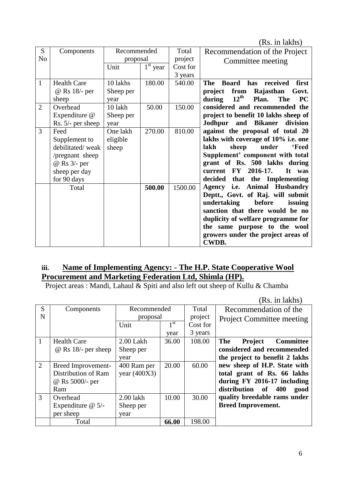(Rs. in lakhs)

|                |                     |             |            |          | $\lambda$                                                      |
|----------------|---------------------|-------------|------------|----------|----------------------------------------------------------------|
| S              | Components          | Recommended |            | Total    | Recommendation of the Project                                  |
| N <sub>0</sub> |                     | proposal    |            | project  | Committee meeting                                              |
|                |                     | Unit        | $1st$ year | Cost for |                                                                |
|                |                     |             |            | 3 years  |                                                                |
| $\mathbf{1}$   | <b>Health Care</b>  | 10 lakhs    | 180.00     | 540.00   | received<br>first<br><b>Board</b><br>has<br>The                |
|                | @ Rs 18/- per       | Sheep per   |            |          | from<br>Rajasthan<br>project<br>Govt.                          |
|                | sheep               | year        |            |          | $12^{\text{th}}$<br>during<br><b>The</b><br><b>PC</b><br>Plan. |
| $\overline{2}$ | Overhead            | 10 lakh     | 50.00      | 150.00   | considered and recommended the                                 |
|                | Expenditure @       | Sheep per   |            |          | project to benefit 10 lakhs sheep of                           |
|                | $Rs. 5/- per sheep$ | year        |            |          | Jodhpur and Bikaner<br>division                                |
| 3              | Feed                | One lakh    | 270.00     | 810.00   | against the proposal of total 20                               |
|                | Supplement to       | eligible    |            |          | lakhs with coverage of 10% i.e. one                            |
|                | debilitated/weak    | sheep       |            |          | lakh<br>sheep<br>under<br><b>'Feed</b>                         |
|                | /pregnant sheep     |             |            |          | Supplement' component with total                               |
|                | @ Rs 3/- per        |             |            |          | grant of Rs. 500 lakhs during                                  |
|                |                     |             |            |          | current FY 2016-17.<br>It<br>was                               |
|                | sheep per day       |             |            |          |                                                                |
|                | for 90 days         |             |            |          | decided that the Implementing                                  |
|                | Total               |             | 500.00     | 1500.00  | Agency i.e. Animal Husbandry                                   |
|                |                     |             |            |          | Deptt., Govt. of Raj. will submit                              |
|                |                     |             |            |          | undertaking<br>before<br>issuing                               |
|                |                     |             |            |          | sanction that there would be no                                |
|                |                     |             |            |          | duplicity of welfare programme for                             |
|                |                     |             |            |          | the same purpose to the wool                                   |
|                |                     |             |            |          | growers under the project areas of                             |
|                |                     |             |            |          | <b>CWDB.</b>                                                   |

#### **iii. Name of Implementing Agency: - The H.P. State Cooperative Wool Procurement and Marketing Federation Ltd, Shimla (HP).**

Project areas : Mandi, Lahaul & Spiti and also left out sheep of Kullu & Chamba

(Rs. in lakhs) S N Components Recommended proposal Total project Cost for 3 years Recommendation of the Project Committee meeting Unit  $1<sup>st</sup>$ year 1 Health Care @ Rs 18/- per sheep 2.00 Lakh Sheep per year 36.00 108.00 **The Project Committee considered and recommended the project to benefit 2 lakhs new sheep of H.P. State with total grant of Rs. 66 lakhs during FY 2016-17 including distribution of 400 good quality breedable rams under Breed Improvement.**  2 Breed Improvement-Distribution of Ram @ Rs 5000/- per Ram 400 Ram per year (400X3) 20.00 60.00 3 Overhead Expenditure @ 5/ per sheep 2.00 lakh Sheep per year 10.00 30.00 Total **66.00** 198.00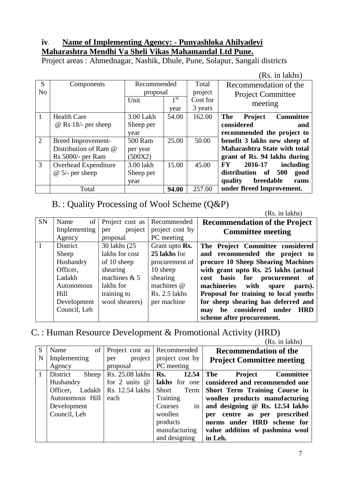#### **iv. Name of Implementing Agency: - Punyashloka Ahilyadevi Maharashtra Mendhi Va Sheli Vikas Mahamandal Ltd Pune.**

Project areas : Ahmednagar, Nashik, Dhule, Pune, Solapur, Sangali districts

|                |                            |           |                 |          | (Rs. in lakhs)                                   |
|----------------|----------------------------|-----------|-----------------|----------|--------------------------------------------------|
| S              | Components                 |           | Recommended     |          | Recommendation of the                            |
| N <sub>o</sub> |                            | proposal  |                 | project  | <b>Project Committee</b>                         |
|                |                            | Unit      | 1 <sup>st</sup> | Cost for | meeting                                          |
|                |                            |           | year            | 3 years  |                                                  |
| 1              | <b>Health Care</b>         | 3.00 Lakh | 54.00           | 162.00   | <b>The</b><br><b>Project</b><br><b>Committee</b> |
|                | $\omega$ Rs 18/- per sheep | Sheep per |                 |          | considered<br>and                                |
|                |                            | year      |                 |          | recommended the project to                       |
| 2              | Breed Improvement-         | 500 Ram   | 25.00           | 50.00    | benefit 3 lakhs new sheep of                     |
|                | Distribution of Ram @      | per year  |                 |          | <b>Maharashtra State with total</b>              |
|                | Rs 5000/- per Ram          | (500X2)   |                 |          | grant of Rs. 94 lakhs during                     |
| 3              | Overhead Expenditure       | 3.00 lakh | 15.00           | 45.00    | 2016-17<br>FY.<br>including                      |
|                | $@ 5/-$ per sheep          | Sheep per |                 |          | distribution<br>500<br><b>of</b><br>good         |
|                |                            | year      |                 |          | quality<br>breedable<br>rams                     |
|                | Total                      |           | 94.00           | 257.00   | under Breed Improvement.                         |

B. : Quality Processing of Wool Scheme (Q&P)

(Rs. in lakhs) SN Name of Implementing Agency Project cost as per project proposal Recommended project cost by PC meeting **Recommendation of the Project Committee meeting** 1 District Sheep Husbandry Officer, Ladakh Autonomous Hill Development Council, Leh 30 lakhs (25 lakhs for cost of 10 sheep shearing machines & 5 lakhs for training to wool shearers) Grant upto **Rs. 25 lakhs** for procurement of 10 sheep shearing machines @ Rs. 2.5 lakhs per machine **The Project Committee considered and recommended the project to procure 10 Sheep Shearing Machines with grant upto Rs. 25 lakhs (actual cost basis for procurement of machineries with spare parts). Proposal for training to local youths for sheep shearing has deferred and may be considered under HRD scheme after procurement.** 

C. : Human Resource Development & Promotional Activity (HRD)

(Rs. in lakhs) S N Name of Implementing Agency Project cost as per project proposal Recommended project cost by PC meeting **Recommendation of the Project Committee meeting** 1 District Sheep Husbandry Officer, Ladakh Autonomous Hill Development Council, Leh Rs. 25.08 lakhs for 2 units @ Rs. 12.54 lakhs each **Rs. 12.54 lakhs** for one Short Term **Training** Courses in woollen products manufacturing and designing **The Project Committee considered and recommended one Short Term Training Course in woollen products manufacturing and designing @ Rs. 12.54 lakhs per centre as per prescribed norms under HRD scheme for value addition of pashmina wool in Leh.**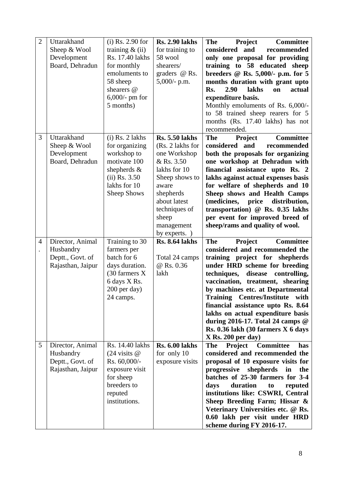| $\overline{2}$                         | Uttarakhand<br>Sheep & Wool<br>Development<br>Board, Dehradun          | $(i)$ Rs. 2.90 for<br>training $\&$ (ii)<br>Rs. 17.40 lakhs<br>for monthly<br>emoluments to<br>58 sheep<br>shearers @<br>$6,000$ /- pm for<br>5 months) | <b>Rs. 2.90 lakhs</b><br>for training to<br>58 wool<br>shearers/<br>graders @ Rs.<br>$5,000/$ - p.m.                                                                                                     | <b>Committee</b><br><b>The</b><br><b>Project</b><br>considered and<br>recommended<br>only one proposal for providing<br>training to 58 educated sheep<br>breeders $@$ Rs. 5,000/- p.m. for 5<br>months duration with grant upto<br>actual<br>2.90<br>lakhs<br>on<br>Rs.<br>expenditure basis.<br>Monthly emoluments of Rs. 6,000/-<br>to 58 trained sheep rearers for 5<br>months (Rs. 17.40 lakhs) has not<br>recommended.                                                                |
|----------------------------------------|------------------------------------------------------------------------|---------------------------------------------------------------------------------------------------------------------------------------------------------|----------------------------------------------------------------------------------------------------------------------------------------------------------------------------------------------------------|--------------------------------------------------------------------------------------------------------------------------------------------------------------------------------------------------------------------------------------------------------------------------------------------------------------------------------------------------------------------------------------------------------------------------------------------------------------------------------------------|
| 3                                      | Uttarakhand<br>Sheep & Wool<br>Development<br>Board, Dehradun          | $(i)$ Rs. 2 lakhs<br>for organizing<br>workshop to<br>motivate 100<br>shepherds $\&$<br>$(ii)$ Rs. 3.50<br>lakhs for 10<br><b>Sheep Shows</b>           | <b>Rs. 5.50 lakhs</b><br>(Rs. 2 lakhs for<br>one Workshop<br>& Rs. 3.50<br>lakhs for 10<br>Sheep shows to<br>aware<br>shepherds<br>about latest<br>techniques of<br>sheep<br>management<br>by experts. ) | <b>Committee</b><br>Project<br><b>The</b><br>considered and<br>recommended<br>both the proposals for organizing<br>one workshop at Dehradun with<br>financial assistance upto Rs. 2<br>lakhs against actual expenses basis<br>for welfare of shepherds and 10<br>Sheep shows and Health Camps<br>price<br>(medicines,<br>distribution,<br>transportation) @ Rs. 0.35 lakhs<br>per event for improved breed of<br>sheep/rams and quality of wool.                                           |
| $\overline{4}$<br>$\ddot{\phantom{0}}$ | Director, Animal<br>Husbandry<br>Deptt., Govt. of<br>Rajasthan, Jaipur | Training to 30<br>farmers per<br>batch for 6<br>days duration.<br>(30 farmers X<br>6 days X Rs.<br>200 per day)<br>24 camps.                            | <b>Rs. 8.64 lakhs</b><br>Total 24 camps<br>@ Rs. 0.36<br>lakh                                                                                                                                            | Project<br><b>Committee</b><br><b>The</b><br>considered and recommended the<br>training project for shepherds<br>under HRD scheme for breeding<br>techniques,<br>disease<br>controlling,<br>vaccination, treatment, shearing<br>by machines etc. at Departmental<br><b>Training Centres/Institute</b><br>with<br>financial assistance upto Rs. 8.64<br>lakhs on actual expenditure basis<br>during 2016-17. Total 24 camps $@$<br>Rs. 0.36 lakh (30 farmers X 6 days<br>X Rs. 200 per day) |
| 5                                      | Director, Animal<br>Husbandry<br>Deptt., Govt. of<br>Rajasthan, Jaipur | Rs. 14.40 lakhs<br>$(24 \text{ visits } @$<br>Rs. 60,000/-<br>exposure visit<br>for sheep<br>breeders to<br>reputed<br>institutions.                    | <b>Rs. 6.00 lakhs</b><br>for only 10<br>exposure visits                                                                                                                                                  | <b>Committee</b><br>Project<br><b>The</b><br>has<br>considered and recommended the<br>proposal of 10 exposure visits for<br>progressive<br>shepherds<br>in<br>the<br>batches of 25-30 farmers for 3-4<br>duration<br>to<br>reputed<br>days<br>institutions like: CSWRI, Central<br>Sheep Breeding Farm; Hissar &<br>Veterinary Universities etc. @ Rs.<br>0.60 lakh per visit under HRD<br>scheme during FY 2016-17.                                                                       |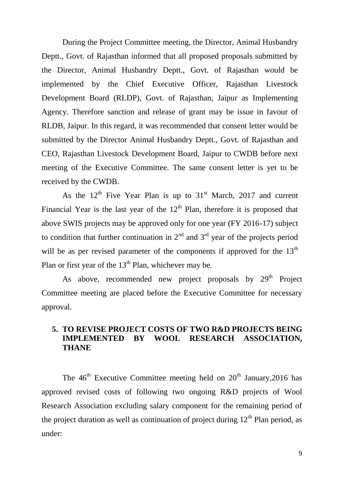During the Project Committee meeting, the Director, Animal Husbandry Deptt., Govt. of Rajasthan informed that all proposed proposals submitted by the Director, Animal Husbandry Deptt., Govt. of Rajasthan would be implemented by the Chief Executive Officer, Rajasthan Livestock Development Board (RLDP), Govt. of Rajasthan, Jaipur as Implementing Agency. Therefore sanction and release of grant may be issue in favour of RLDB, Jaipur. In this regard, it was recommended that consent letter would be submitted by the Director Animal Husbandry Deptt., Govt. of Rajasthan and CEO, Rajasthan Livestock Development Board, Jaipur to CWDB before next meeting of the Executive Committee. The same consent letter is yet to be received by the CWDB.

As the  $12<sup>th</sup>$  Five Year Plan is up to  $31<sup>st</sup>$  March, 2017 and current Financial Year is the last year of the  $12<sup>th</sup>$  Plan, therefore it is proposed that above SWIS projects may be approved only for one year (FY 2016-17) subject to condition that further continuation in  $2<sup>nd</sup>$  and  $3<sup>rd</sup>$  year of the projects period will be as per revised parameter of the components if approved for the  $13<sup>th</sup>$ Plan or first year of the  $13<sup>th</sup>$  Plan, whichever may be.

As above, recommended new project proposals by  $29<sup>th</sup>$  Project Committee meeting are placed before the Executive Committee for necessary approval.

#### **5. TO REVISE PROJECT COSTS OF TWO R&D PROJECTS BEING IMPLEMENTED BY WOOL RESEARCH ASSOCIATION, THANE**

The  $46<sup>th</sup>$  Executive Committee meeting held on  $20<sup>th</sup>$  January, 2016 has approved revised costs of following two ongoing R&D projects of Wool Research Association excluding salary component for the remaining period of the project duration as well as continuation of project during  $12<sup>th</sup>$  Plan period, as under: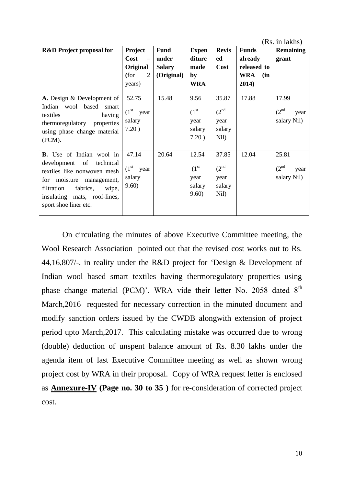|                                                                                                                                                                                                                    |                                                                                |                                                     |                                                        |                                                     |                                                                      | (Rs. in lakhs)                                   |
|--------------------------------------------------------------------------------------------------------------------------------------------------------------------------------------------------------------------|--------------------------------------------------------------------------------|-----------------------------------------------------|--------------------------------------------------------|-----------------------------------------------------|----------------------------------------------------------------------|--------------------------------------------------|
| <b>R&amp;D</b> Project proposal for                                                                                                                                                                                | Project<br>Cost<br>$\overline{\phantom{a}}$<br>Original<br>(for<br>2<br>years) | <b>Fund</b><br>under<br><b>Salary</b><br>(Original) | <b>Expen</b><br>diture<br>made<br>by<br><b>WRA</b>     | <b>Revis</b><br>ed<br><b>Cost</b>                   | <b>Funds</b><br>already<br>released to<br><b>WRA</b><br>(in<br>2014) | <b>Remaining</b><br>grant                        |
| A. Design & Development of<br>Indian wool based<br>smart<br>having<br>textiles<br>thermoregulatory<br>properties<br>using phase change material<br>(PCM).                                                          | 52.75<br>$(1st$ year<br>salary<br>7.20)                                        | 15.48                                               | 9.56<br>(1 <sup>st</sup> )<br>year<br>salary<br>7.20)  | 35.87<br>(2 <sup>nd</sup><br>year<br>salary<br>Nil) | 17.88                                                                | 17.99<br>(2 <sup>nd</sup><br>year<br>salary Nil) |
| <b>B.</b> Use of Indian wool in<br>development of technical<br>textiles like nonwoven mesh<br>for moisture management,<br>filtration<br>fabrics,<br>wipe,<br>insulating mats, roof-lines,<br>sport shoe liner etc. | 47.14<br>$(1st$ year<br>salary<br>9.60)                                        | 20.64                                               | 12.54<br>(1 <sup>st</sup> )<br>year<br>salary<br>9.60) | 37.85<br>(2 <sup>nd</sup><br>year<br>salary<br>Nil) | 12.04                                                                | 25.81<br>(2 <sup>nd</sup><br>year<br>salary Nil) |

On circulating the minutes of above Executive Committee meeting, the Wool Research Association pointed out that the revised cost works out to Rs. 44,16,807/-, in reality under the R&D project for "Design & Development of Indian wool based smart textiles having thermoregulatory properties using phase change material (PCM)'. WRA vide their letter No. 2058 dated 8<sup>th</sup> March,2016 requested for necessary correction in the minuted document and modify sanction orders issued by the CWDB alongwith extension of project period upto March,2017. This calculating mistake was occurred due to wrong (double) deduction of unspent balance amount of Rs. 8.30 lakhs under the agenda item of last Executive Committee meeting as well as shown wrong project cost by WRA in their proposal. Copy of WRA request letter is enclosed as **Annexure-IV (Page no. 30 to 35 )** for re-consideration of corrected project cost.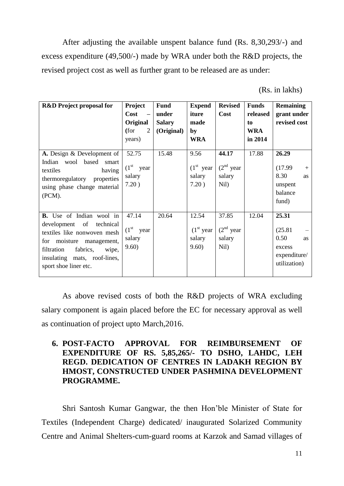After adjusting the available unspent balance fund (Rs. 8,30,293/-) and excess expenditure (49,500/-) made by WRA under both the R&D projects, the revised project cost as well as further grant to be released are as under:

(Rs. in lakhs)

| <b>R&amp;D</b> Project proposal for                                                                                                                                                                                      | Project<br>Cost<br>$\overline{\phantom{a}}$<br>Original | <b>Fund</b><br>under<br><b>Salary</b> | <b>Expend</b><br>iture<br>made          | <b>Revised</b><br>Cost                 | <b>Funds</b><br>released<br>to | <b>Remaining</b><br>grant under<br>revised cost                          |
|--------------------------------------------------------------------------------------------------------------------------------------------------------------------------------------------------------------------------|---------------------------------------------------------|---------------------------------------|-----------------------------------------|----------------------------------------|--------------------------------|--------------------------------------------------------------------------|
|                                                                                                                                                                                                                          | (for<br>2<br>years)                                     | (Original)                            | by<br><b>WRA</b>                        |                                        | <b>WRA</b><br>in 2014          |                                                                          |
| A. Design & Development of<br>Indian wool based<br>smart<br>textiles<br>having<br>thermoregulatory<br>properties<br>using phase change material<br>(PCM).                                                                | 52.75<br>$(1st$ year<br>salary<br>7.20)                 | 15.48                                 | 9.56<br>$(1st$ year<br>salary<br>7.20)  | 44.17<br>$(2nd$ year<br>salary<br>Nil) | 17.88                          | 26.29<br>(17.99)<br>$+$<br>8.30<br>as<br>unspent<br>balance<br>fund)     |
| <b>B.</b> Use of Indian wool in<br>development of<br>technical<br>textiles like nonwoven mesh<br>for moisture<br>management,<br>fabrics,<br>filtration<br>wipe,<br>insulating mats, roof-lines,<br>sport shoe liner etc. | 47.14<br>$(1st$ year<br>salary<br>9.60)                 | 20.64                                 | 12.54<br>$(1st$ year<br>salary<br>9.60) | 37.85<br>$(2nd$ year<br>salary<br>Nil) | 12.04                          | 25.31<br>(25.81)<br>0.50<br>as<br>excess<br>expenditure/<br>utilization) |

As above revised costs of both the R&D projects of WRA excluding salary component is again placed before the EC for necessary approval as well as continuation of project upto March,2016.

#### **6. POST-FACTO APPROVAL FOR REIMBURSEMENT OF EXPENDITURE OF RS. 5,85,265/- TO DSHO, LAHDC, LEH REGD. DEDICATION OF CENTRES IN LADAKH REGION BY HMOST, CONSTRUCTED UNDER PASHMINA DEVELOPMENT PROGRAMME.**

Shri Santosh Kumar Gangwar, the then Hon"ble Minister of State for Textiles (Independent Charge) dedicated/ inaugurated Solarized Community Centre and Animal Shelters-cum-guard rooms at Karzok and Samad villages of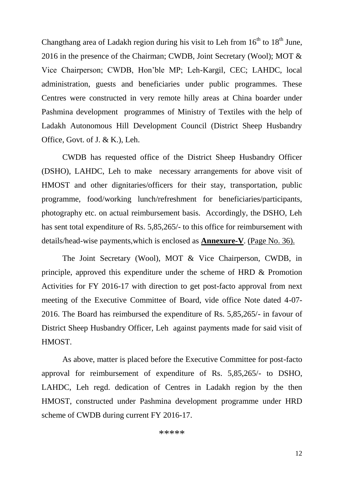Changthang area of Ladakh region during his visit to Leh from  $16<sup>th</sup>$  to  $18<sup>th</sup>$  June, 2016 in the presence of the Chairman; CWDB, Joint Secretary (Wool); MOT & Vice Chairperson; CWDB, Hon"ble MP; Leh-Kargil, CEC; LAHDC, local administration, guests and beneficiaries under public programmes. These Centres were constructed in very remote hilly areas at China boarder under Pashmina development programmes of Ministry of Textiles with the help of Ladakh Autonomous Hill Development Council (District Sheep Husbandry Office, Govt. of J. & K.), Leh.

CWDB has requested office of the District Sheep Husbandry Officer (DSHO), LAHDC, Leh to make necessary arrangements for above visit of HMOST and other dignitaries/officers for their stay, transportation, public programme, food/working lunch/refreshment for beneficiaries/participants, photography etc. on actual reimbursement basis. Accordingly, the DSHO, Leh has sent total expenditure of Rs. 5,85,265/- to this office for reimbursement with details/head-wise payments,which is enclosed as **Annexure-V**. (Page No. 36).

The Joint Secretary (Wool), MOT & Vice Chairperson, CWDB, in principle, approved this expenditure under the scheme of HRD & Promotion Activities for FY 2016-17 with direction to get post-facto approval from next meeting of the Executive Committee of Board, vide office Note dated 4-07- 2016. The Board has reimbursed the expenditure of Rs. 5,85,265/- in favour of District Sheep Husbandry Officer, Leh against payments made for said visit of HMOST.

As above, matter is placed before the Executive Committee for post-facto approval for reimbursement of expenditure of Rs. 5,85,265/- to DSHO, LAHDC, Leh regd. dedication of Centres in Ladakh region by the then HMOST, constructed under Pashmina development programme under HRD scheme of CWDB during current FY 2016-17.

\*\*\*\*\*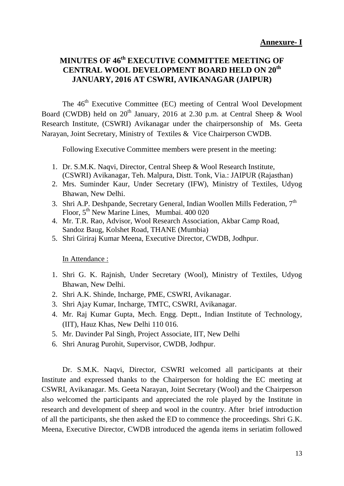### **MINUTES OF 46th EXECUTIVE COMMITTEE MEETING OF CENTRAL WOOL DEVELOPMENT BOARD HELD ON 20th JANUARY, 2016 AT CSWRI, AVIKANAGAR (JAIPUR)**

The 46<sup>th</sup> Executive Committee (EC) meeting of Central Wool Development Board (CWDB) held on  $20<sup>th</sup>$  January, 2016 at 2.30 p.m. at Central Sheep & Wool Research Institute, (CSWRI) Avikanagar under the chairpersonship of Ms. Geeta Narayan, Joint Secretary, Ministry of Textiles & Vice Chairperson CWDB.

Following Executive Committee members were present in the meeting:

- 1. Dr. S.M.K. Naqvi, Director, Central Sheep & Wool Research Institute, (CSWRI) Avikanagar, Teh. Malpura, Distt. Tonk, Via.: JAIPUR (Rajasthan)
- 2. Mrs. Suminder Kaur, Under Secretary (IFW), Ministry of Textiles, Udyog Bhawan, New Delhi.
- 3. Shri A.P. Deshpande, Secretary General, Indian Woollen Mills Federation, 7<sup>th</sup> Floor, 5<sup>th</sup> New Marine Lines, Mumbai. 400 020
- 4. Mr. T.R. Rao, Advisor, Wool Research Association, Akbar Camp Road, Sandoz Baug, Kolshet Road, THANE (Mumbia)
- 5. Shri Giriraj Kumar Meena, Executive Director, CWDB, Jodhpur.

In Attendance :

- 1. Shri G. K. Rajnish, Under Secretary (Wool), Ministry of Textiles, Udyog Bhawan, New Delhi.
- 2. Shri A.K. Shinde, Incharge, PME, CSWRI, Avikanagar.
- 3. Shri Ajay Kumar, Incharge, TMTC, CSWRI, Avikanagar.
- 4. Mr. Raj Kumar Gupta, Mech. Engg. Deptt., Indian Institute of Technology, (IIT), Hauz Khas, New Delhi 110 016.
- 5. Mr. Davinder Pal Singh, Project Associate, IIT, New Delhi
- 6. Shri Anurag Purohit, Supervisor, CWDB, Jodhpur.

Dr. S.M.K. Naqvi, Director, CSWRI welcomed all participants at their Institute and expressed thanks to the Chairperson for holding the EC meeting at CSWRI, Avikanagar. Ms. Geeta Narayan, Joint Secretary (Wool) and the Chairperson also welcomed the participants and appreciated the role played by the Institute in research and development of sheep and wool in the country. After brief introduction of all the participants, she then asked the ED to commence the proceedings. Shri G.K. Meena, Executive Director, CWDB introduced the agenda items in seriatim followed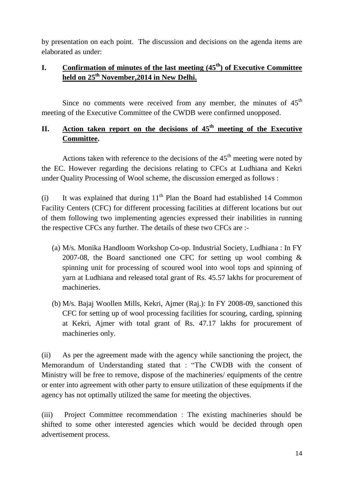by presentation on each point. The discussion and decisions on the agenda items are elaborated as under:

#### **I. Confirmation of minutes of the last meeting (45th) of Executive Committee held on 25th November,2014 in New Delhi.**

Since no comments were received from any member, the minutes of  $45<sup>th</sup>$ meeting of the Executive Committee of the CWDB were confirmed unopposed.

#### **II.** Action taken report on the decisions of 45<sup>th</sup> meeting of the Executive **Committee.**

Actions taken with reference to the decisions of the  $45<sup>th</sup>$  meeting were noted by the EC. However regarding the decisions relating to CFCs at Ludhiana and Kekri under Quality Processing of Wool scheme, the discussion emerged as follows :

(i) It was explained that during  $11<sup>th</sup>$  Plan the Board had established 14 Common Facility Centers (CFC) for different processing facilities at different locations but out of them following two implementing agencies expressed their inabilities in running the respective CFCs any further. The details of these two CFCs are :-

- (a) M/s. Monika Handloom Workshop Co-op. Industrial Society, Ludhiana : In FY 2007-08, the Board sanctioned one CFC for setting up wool combing & spinning unit for processing of scoured wool into wool tops and spinning of yarn at Ludhiana and released total grant of Rs. 45.57 lakhs for procurement of machineries.
- (b) M/s. Bajaj Woollen Mills, Kekri, Ajmer (Raj.): In FY 2008-09, sanctioned this CFC for setting up of wool processing facilities for scouring, carding, spinning at Kekri, Ajmer with total grant of Rs. 47.17 lakhs for procurement of machineries only.

(ii) As per the agreement made with the agency while sanctioning the project, the Memorandum of Understanding stated that : "The CWDB with the consent of Ministry will be free to remove, dispose of the machineries/ equipments of the centre or enter into agreement with other party to ensure utilization of these equipments if the agency has not optimally utilized the same for meeting the objectives.

(iii) Project Committee recommendation : The existing machineries should be shifted to some other interested agencies which would be decided through open advertisement process.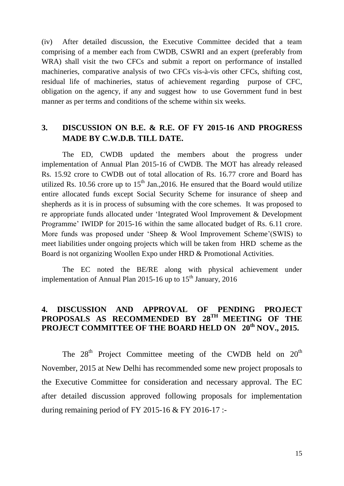(iv) After detailed discussion, the Executive Committee decided that a team comprising of a member each from CWDB, CSWRI and an expert (preferably from WRA) shall visit the two CFCs and submit a report on performance of installed machineries, comparative analysis of two CFCs vis-à-vis other CFCs, shifting cost, residual life of machineries, status of achievement regarding purpose of CFC, obligation on the agency, if any and suggest how to use Government fund in best manner as per terms and conditions of the scheme within six weeks.

#### **3. DISCUSSION ON B.E. & R.E. OF FY 2015-16 AND PROGRESS MADE BY C.W.D.B. TILL DATE.**

The ED, CWDB updated the members about the progress under implementation of Annual Plan 2015-16 of CWDB. The MOT has already released Rs. 15.92 crore to CWDB out of total allocation of Rs. 16.77 crore and Board has utilized Rs. 10.56 crore up to  $15<sup>th</sup>$  Jan., 2016. He ensured that the Board would utilize entire allocated funds except Social Security Scheme for insurance of sheep and shepherds as it is in process of subsuming with the core schemes. It was proposed to re appropriate funds allocated under "Integrated Wool Improvement & Development Programme' IWIDP for 2015-16 within the same allocated budget of Rs. 6.11 crore. More funds was proposed under "Sheep & Wool Improvement Scheme"(SWIS) to meet liabilities under ongoing projects which will be taken from HRD scheme as the Board is not organizing Woollen Expo under HRD & Promotional Activities.

The EC noted the BE/RE along with physical achievement under implementation of Annual Plan 2015-16 up to  $15<sup>th</sup>$  January, 2016

#### **4. DISCUSSION AND APPROVAL OF PENDING PROJECT**  PROPOSALS AS RECOMMENDED BY 28<sup>TH</sup> MEETING OF THE **PROJECT COMMITTEE OF THE BOARD HELD ON 20th NOV., 2015.**

The  $28<sup>th</sup>$  Project Committee meeting of the CWDB held on  $20<sup>th</sup>$ November, 2015 at New Delhi has recommended some new project proposals to the Executive Committee for consideration and necessary approval. The EC after detailed discussion approved following proposals for implementation during remaining period of FY 2015-16  $&$  FY 2016-17 :-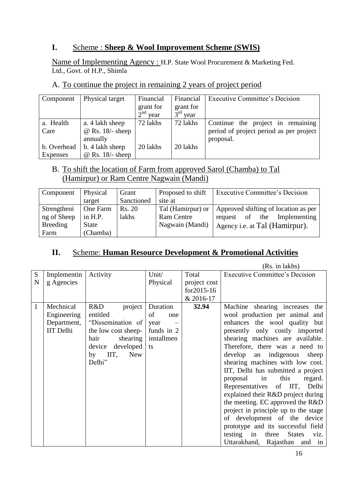#### **I.** Scheme : **Sheep & Wool Improvement Scheme (SWIS)**

Name of Implementing Agency : H.P. State Wool Procurement & Marketing Fed. Ltd., Govt. of H.P., Shimla

#### A. To continue the project in remaining 2 years of project period

| Component   | Physical target         | Financial  | Financial  | <b>Executive Committee's Decision</b>   |
|-------------|-------------------------|------------|------------|-----------------------------------------|
|             |                         | grant for  | grant for  |                                         |
|             |                         | $2nd$ year | $3rd$ year |                                         |
| a. Health   | a. 4 lakh sheep         | 72 lakhs   | 72 lakhs   | Continue the project in remaining       |
| Care        | $@$ Rs. 18/- sheep      |            |            | period of project period as per project |
|             | annually                |            |            | proposal.                               |
| b. Overhead | b. 4 lakh sheep         | 20 lakhs   | 20 lakhs   |                                         |
| Expenses    | $\omega$ Rs. 18/- sheep |            |            |                                         |

#### B. To shift the location of Farm from approved Sarol (Chamba) to Tal (Hamirpur) or Ram Centre Nagwain (Mandi)

| Component       | <b>Physical</b> | Grant      | Proposed to shift | <b>Executive Committee's Decision</b> |
|-----------------|-----------------|------------|-------------------|---------------------------------------|
|                 | target          | Sanctioned | site at           |                                       |
| Strengtheni     | <b>One Farm</b> | Rs. 20     | Tal (Hamirpur) or | Approved shifting of location as per  |
| ng of Sheep     | in $H.P.$       | lakhs      | <b>Ram Centre</b> | Implementing<br>request of the        |
| <b>Breeding</b> | State           |            | Nagwain (Mandi)   | Agency <i>i.e.</i> at Tal (Hamirpur). |
| Farm            | (Chamba)        |            |                   |                                       |

#### **II.** Scheme: **Human Resource Development & Promotional Activities**  ֺ֞֝

|   |             |                     |            |              | (Rs. in lakhs)                                         |
|---|-------------|---------------------|------------|--------------|--------------------------------------------------------|
| S | Implementin | Activity            | Unit/      | Total        | <b>Executive Committee's Decision</b>                  |
| N | g Agencies  |                     | Physical   | project cost |                                                        |
|   |             |                     |            | for2015-16   |                                                        |
|   |             |                     |            | & 2016-17    |                                                        |
| 1 | Mechnical   | R&D<br>project      | Duration   | 32.94        | Machine shearing increases the                         |
|   | Engineering | entitled            | of<br>one  |              | wool production per animal and                         |
|   | Department, | "Dissemination of   | year       |              | enhances the wool quality but                          |
|   | IIT Delhi   | the low cost sheep- | funds in 2 |              | presently only costly imported                         |
|   |             | shearing<br>hair    | installmen |              | shearing machines are available.                       |
|   |             | developed<br>device | ts         |              | Therefore, there was a need to                         |
|   |             | $by$ IIT,<br>New    |            |              | develop an indigenous<br>sheep                         |
|   |             | Delhi"              |            |              | shearing machines with low cost.                       |
|   |             |                     |            |              | IIT, Delhi has submitted a project                     |
|   |             |                     |            |              | this<br>proposal<br>in<br>regard.                      |
|   |             |                     |            |              | Representatives of IIT, Delhi                          |
|   |             |                     |            |              | explained their R&D project during                     |
|   |             |                     |            |              | the meeting. EC approved the R&D                       |
|   |             |                     |            |              | project in principle up to the stage                   |
|   |             |                     |            |              | of development of the device                           |
|   |             |                     |            |              | prototype and its successful field                     |
|   |             |                     |            |              | testing in three<br><b>States</b><br>V <sub>iz</sub> . |
|   |             |                     |            |              | Uttarakhand, Rajasthan and in                          |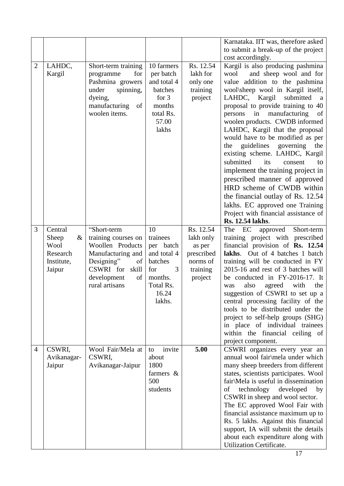|                |             |                                      |                      |            | Karnataka. IIT was, therefore asked                                        |
|----------------|-------------|--------------------------------------|----------------------|------------|----------------------------------------------------------------------------|
|                |             |                                      |                      |            | to submit a break-up of the project                                        |
|                |             |                                      |                      |            | cost accordingly.                                                          |
| $\overline{2}$ | LAHDC,      | Short-term training                  | 10 farmers           | Rs. 12.54  | Kargil is also producing pashmina                                          |
|                | Kargil      | for<br>programme                     | per batch            | lakh for   | wool<br>and sheep wool and for                                             |
|                |             | Pashmina growers                     | and total 4          | only one   | value addition to the pashmina                                             |
|                |             | spinning,<br>under                   | batches              | training   | wool\sheep wool in Kargil itself,                                          |
|                |             | dyeing,                              | for $3$              |            | LAHDC, Kargil<br>submitted                                                 |
|                |             |                                      | months               | project    | a                                                                          |
|                |             | manufacturing<br>of<br>woolen items. | total Rs.            |            | proposal to provide training to 40<br>manufacturing<br>persons<br>in<br>of |
|                |             |                                      | 57.00                |            | woolen products. CWDB informed                                             |
|                |             |                                      | lakhs                |            | LAHDC, Kargil that the proposal                                            |
|                |             |                                      |                      |            | would have to be modified as per                                           |
|                |             |                                      |                      |            | guidelines governing<br>the<br>the                                         |
|                |             |                                      |                      |            |                                                                            |
|                |             |                                      |                      |            | existing scheme. LAHDC, Kargil                                             |
|                |             |                                      |                      |            | submitted<br>its<br>consent<br>to                                          |
|                |             |                                      |                      |            | implement the training project in                                          |
|                |             |                                      |                      |            | prescribed manner of approved                                              |
|                |             |                                      |                      |            | HRD scheme of CWDB within                                                  |
|                |             |                                      |                      |            | the financial outlay of Rs. 12.54                                          |
|                |             |                                      |                      |            | lakhs. EC approved one Training                                            |
|                |             |                                      |                      |            | Project with financial assistance of                                       |
|                |             |                                      |                      |            | Rs. 12.54 lakhs.                                                           |
| 3              | Central     | "Short-term                          | 10                   | Rs. 12.54  | EC<br>Short-term<br>The<br>approved                                        |
|                | Sheep<br>&  | training courses on                  | trainees             | lakh only  | training project with prescribed                                           |
|                | Wool        | Woollen Products                     | per batch            | as per     | financial provision of Rs. 12.54                                           |
|                | Research    | Manufacturing and                    | and total 4          | prescribed | lakhs. Out of 4 batches 1 batch                                            |
|                | Institute,  | Designing"<br>of                     | batches              | norms of   | training will be conducted in FY                                           |
|                | Jaipur      | CSWRI for skill                      | for<br>3             | training   | 2015-16 and rest of 3 batches will                                         |
|                |             | development<br>of<br>rural artisans  | months.<br>Total Rs. | project    | be conducted in FY-2016-17. It<br>also<br>with<br>the                      |
|                |             |                                      | 16.24                |            | agreed<br>was<br>suggestion of CSWRI to set up a                           |
|                |             |                                      | lakhs.               |            | central processing facility of the                                         |
|                |             |                                      |                      |            | tools to be distributed under the                                          |
|                |             |                                      |                      |            | project to self-help groups (SHG)                                          |
|                |             |                                      |                      |            | in place of individual trainees                                            |
|                |             |                                      |                      |            | within the financial ceiling of                                            |
|                |             |                                      |                      |            | project component.                                                         |
| $\overline{4}$ | CSWRI,      | Wool Fair/Mela at                    | invite<br>to         | 5.00       | CSWRI organizes every year an                                              |
|                | Avikanagar- | CSWRI,                               | about                |            | annual wool fair\mela under which                                          |
|                | Jaipur      | Avikanagar-Jaipur                    | 1800                 |            | many sheep breeders from different                                         |
|                |             |                                      | farmers $\&$         |            | states, scientists participates. Wool                                      |
|                |             |                                      | 500                  |            | fair\Mela is useful in dissemination                                       |
|                |             |                                      | students             |            | technology developed<br>of<br>by                                           |
|                |             |                                      |                      |            | CSWRI in sheep and wool sector.                                            |
|                |             |                                      |                      |            | The EC approved Wool Fair with                                             |
|                |             |                                      |                      |            | financial assistance maximum up to                                         |
|                |             |                                      |                      |            | Rs. 5 lakhs. Against this financial                                        |
|                |             |                                      |                      |            | support, IA will submit the details                                        |
|                |             |                                      |                      |            | about each expenditure along with                                          |
|                |             |                                      |                      |            | Utilization Certificate.                                                   |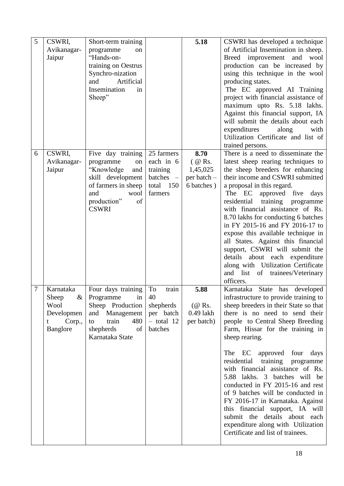| 5 | CSWRI,      | Short-term training |              | 5.18               | CSWRI has developed a technique                                          |
|---|-------------|---------------------|--------------|--------------------|--------------------------------------------------------------------------|
|   | Avikanagar- | programme<br>on     |              |                    | of Artificial Insemination in sheep.                                     |
|   | Jaipur      | "Hands-on-          |              |                    | Breed improvement<br>and wool                                            |
|   |             | training on Oestrus |              |                    | production can be increased by                                           |
|   |             | Synchro-nization    |              |                    | using this technique in the wool                                         |
|   |             | Artificial<br>and   |              |                    | producing states.                                                        |
|   |             | Insemination<br>in  |              |                    | The EC approved AI Training                                              |
|   |             | Sheep"              |              |                    | project with financial assistance of                                     |
|   |             |                     |              |                    | maximum upto Rs. 5.18 lakhs.                                             |
|   |             |                     |              |                    | Against this financial support, IA                                       |
|   |             |                     |              |                    | will submit the details about each                                       |
|   |             |                     |              |                    | expenditures<br>along<br>with                                            |
|   |             |                     |              |                    | Utilization Certificate and list of                                      |
|   |             |                     |              |                    | trained persons.                                                         |
| 6 | CSWRI,      | Five day training   | 25 farmers   | 8.70               | There is a need to disseminate the                                       |
|   | Avikanagar- | programme<br>on     | each in 6    | $($ @ Rs.          | latest sheep rearing techniques to                                       |
|   | Jaipur      | "Knowledge<br>and   | training     | 1,45,025           | the sheep breeders for enhancing                                         |
|   |             | skill development   | batches -    | per batch -        | their income and CSWRI submitted                                         |
|   |             | of farmers in sheep | total 150    | 6 batches)         | a proposal in this regard.                                               |
|   |             | and<br>wool         | farmers      |                    | approved five days<br>The EC                                             |
|   |             | production"<br>of   |              |                    | residential<br>training<br>programme                                     |
|   |             | <b>CSWRI</b>        |              |                    | with financial assistance of Rs.                                         |
|   |             |                     |              |                    | 8.70 lakhs for conducting 6 batches                                      |
|   |             |                     |              |                    | in FY 2015-16 and FY 2016-17 to                                          |
|   |             |                     |              |                    | expose this available technique in<br>all States. Against this financial |
|   |             |                     |              |                    | support, CSWRI will submit the                                           |
|   |             |                     |              |                    | details about each expenditure                                           |
|   |             |                     |              |                    | along with Utilization Certificate                                       |
|   |             |                     |              |                    | and list<br>trainees/Veterinary<br>of                                    |
|   |             |                     |              |                    | officers.                                                                |
| 7 | Karnataka   | Four days training  | To<br>train  | 5.88               | Karnataka State has<br>developed                                         |
|   | Sheep<br>&  | Programme<br>in     | 40           |                    | infrastructure to provide training to                                    |
|   | Wool        | Sheep Production    | shepherds    | $(\mathcal{Q}$ Rs. | sheep breeders in their State so that                                    |
|   | Developmen  | and Management      | per batch    | $0.49$ lakh        | there is no need to send their                                           |
|   | Corp.,<br>t | train<br>480<br>to  | $-$ total 12 | per batch)         | people to Central Sheep Breeding                                         |
|   | Banglore    | shepherds<br>of     | batches      |                    | Farm, Hissar for the training in                                         |
|   |             | Karnataka State     |              |                    | sheep rearing.                                                           |
|   |             |                     |              |                    |                                                                          |
|   |             |                     |              |                    | The EC<br>approved<br>four<br>days                                       |
|   |             |                     |              |                    | residential training<br>programme                                        |
|   |             |                     |              |                    | with financial assistance of Rs.                                         |
|   |             |                     |              |                    | 5.88 lakhs. 3 batches will be                                            |
|   |             |                     |              |                    | conducted in FY 2015-16 and rest                                         |
|   |             |                     |              |                    | of 9 batches will be conducted in                                        |
|   |             |                     |              |                    | FY 2016-17 in Karnataka. Against                                         |
|   |             |                     |              |                    | this financial support, IA will                                          |
|   |             |                     |              |                    | submit the details about each                                            |
|   |             |                     |              |                    | expenditure along with Utilization                                       |
|   |             |                     |              |                    | Certificate and list of trainees.                                        |
|   |             |                     |              |                    |                                                                          |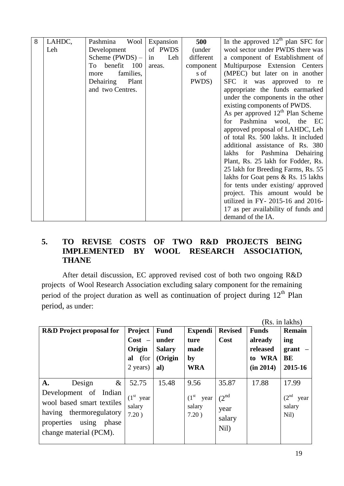| 8 | LAHDC, | Pashmina<br>Wool   | Expansion | 500       | In the approved $12th$ plan SFC for |
|---|--------|--------------------|-----------|-----------|-------------------------------------|
|   | Leh    | Development        | of PWDS   | (under    | wool sector under PWDS there was    |
|   |        | Scheme $(PWDS) -$  | Leh<br>in | different | a component of Establishment of     |
|   |        | benefit 100<br>To  | areas.    | component | Multipurpose Extension Centers      |
|   |        | families,<br>more  |           | s of      | (MPEC) but later on in another      |
|   |        | Dehairing<br>Plant |           | PWDS)     | SFC it was approved to re           |
|   |        | and two Centres.   |           |           | appropriate the funds earmarked     |
|   |        |                    |           |           | under the components in the other   |
|   |        |                    |           |           | existing components of PWDS.        |
|   |        |                    |           |           | As per approved $12th$ Plan Scheme  |
|   |        |                    |           |           | for Pashmina wool, the EC           |
|   |        |                    |           |           | approved proposal of LAHDC, Leh     |
|   |        |                    |           |           | of total Rs. 500 lakhs. It included |
|   |        |                    |           |           | additional assistance of Rs. 380    |
|   |        |                    |           |           | lakhs for Pashmina Dehairing        |
|   |        |                    |           |           | Plant, Rs. 25 lakh for Fodder, Rs.  |
|   |        |                    |           |           | 25 lakh for Breeding Farms, Rs. 55  |
|   |        |                    |           |           | lakhs for Goat pens & Rs. 15 lakhs  |
|   |        |                    |           |           | for tents under existing/ approved  |
|   |        |                    |           |           | project. This amount would be       |
|   |        |                    |           |           | utilized in FY- 2015-16 and 2016-   |
|   |        |                    |           |           | 17 as per availability of funds and |
|   |        |                    |           |           | demand of the IA.                   |

#### **5. TO REVISE COSTS OF TWO R&D PROJECTS BEING IMPLEMENTED BY WOOL RESEARCH ASSOCIATION, THANE**

After detail discussion, EC approved revised cost of both two ongoing R&D projects of Wool Research Association excluding salary component for the remaining period of the project duration as well as continuation of project during  $12<sup>th</sup>$  Plan period, as under:

|                                                                                                                                      |                                |               |                                          |                                             |              | (Rs. in lakhs)                             |
|--------------------------------------------------------------------------------------------------------------------------------------|--------------------------------|---------------|------------------------------------------|---------------------------------------------|--------------|--------------------------------------------|
| <b>R&amp;D</b> Project proposal for                                                                                                  | Project                        | <b>Fund</b>   | <b>Expendi</b>                           | <b>Revised</b>                              | <b>Funds</b> | <b>Remain</b>                              |
|                                                                                                                                      | $Cost -$                       | under         | ture                                     | Cost                                        | already      | ing                                        |
|                                                                                                                                      | Origin                         | <b>Salary</b> | made                                     |                                             | released     | grant                                      |
|                                                                                                                                      | (for<br>al                     | (Origin       | by                                       |                                             | to WRA       | BE                                         |
|                                                                                                                                      | 2 years)                       | al)           | <b>WRA</b>                               |                                             | (in 2014)    | 2015-16                                    |
|                                                                                                                                      |                                |               |                                          |                                             |              |                                            |
| $\&$<br><b>A.</b><br>Design                                                                                                          | 52.75                          | 15.48         | 9.56                                     | 35.87                                       | 17.88        | 17.99                                      |
| Development of Indian<br>wool based smart textiles<br>having thermoregulatory<br>properties using<br>phase<br>change material (PCM). | $(1st$ year<br>salary<br>7.20) |               | $(1^{\rm st}$<br>year<br>salary<br>7.20) | $(2^{\text{nd}})$<br>year<br>salary<br>Nil) |              | (2 <sup>nd</sup><br>year<br>salary<br>Nil) |

19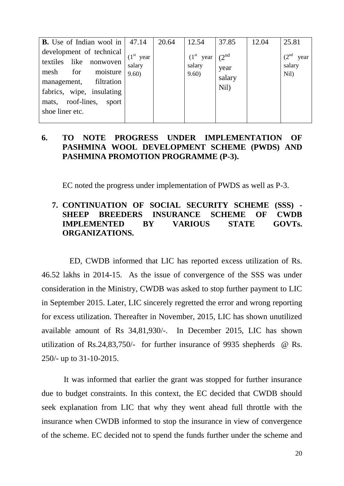| <b>B.</b> Use of Indian wool in $ 47.14$                                                                                                                                              |                                | 20.64 | 12.54                          | 37.85                                       | 12.04 | 25.81                                      |
|---------------------------------------------------------------------------------------------------------------------------------------------------------------------------------------|--------------------------------|-------|--------------------------------|---------------------------------------------|-------|--------------------------------------------|
| development of technical<br>textiles like nonwoven<br>for<br>mesh<br>moisture<br>management, filtration<br>fabrics, wipe, insulating<br>mats, roof-lines,<br>sport<br>shoe liner etc. | $(1st$ year<br>salary<br>9.60) |       | $(1st$ year<br>salary<br>9.60) | $(2^{\text{nd}})$<br>year<br>salary<br>Nil) |       | (2 <sup>nd</sup><br>year<br>salary<br>Nil) |

#### **6. TO NOTE PROGRESS UNDER IMPLEMENTATION OF PASHMINA WOOL DEVELOPMENT SCHEME (PWDS) AND PASHMINA PROMOTION PROGRAMME (P-3).**

EC noted the progress under implementation of PWDS as well as P-3.

#### **7. CONTINUATION OF SOCIAL SECURITY SCHEME (SSS) - SHEEP BREEDERS INSURANCE SCHEME OF CWDB IMPLEMENTED BY VARIOUS STATE GOVTs. ORGANIZATIONS.**

ED, CWDB informed that LIC has reported excess utilization of Rs. 46.52 lakhs in 2014-15. As the issue of convergence of the SSS was under consideration in the Ministry, CWDB was asked to stop further payment to LIC in September 2015. Later, LIC sincerely regretted the error and wrong reporting for excess utilization. Thereafter in November, 2015, LIC has shown unutilized available amount of Rs 34,81,930/-. In December 2015, LIC has shown utilization of Rs.24,83,750/- for further insurance of 9935 shepherds @ Rs. 250/- up to 31-10-2015.

 It was informed that earlier the grant was stopped for further insurance due to budget constraints. In this context, the EC decided that CWDB should seek explanation from LIC that why they went ahead full throttle with the insurance when CWDB informed to stop the insurance in view of convergence of the scheme. EC decided not to spend the funds further under the scheme and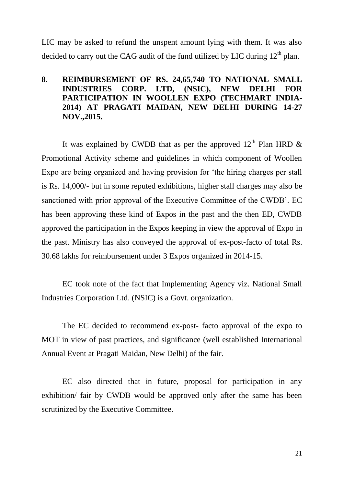LIC may be asked to refund the unspent amount lying with them. It was also decided to carry out the CAG audit of the fund utilized by LIC during  $12<sup>th</sup>$  plan.

#### **8. REIMBURSEMENT OF RS. 24,65,740 TO NATIONAL SMALL INDUSTRIES CORP. LTD, (NSIC), NEW DELHI FOR PARTICIPATION IN WOOLLEN EXPO (TECHMART INDIA-2014) AT PRAGATI MAIDAN, NEW DELHI DURING 14-27 NOV.,2015.**

It was explained by CWDB that as per the approved  $12<sup>th</sup>$  Plan HRD  $\&$ Promotional Activity scheme and guidelines in which component of Woollen Expo are being organized and having provision for "the hiring charges per stall is Rs. 14,000/- but in some reputed exhibitions, higher stall charges may also be sanctioned with prior approval of the Executive Committee of the CWDB". EC has been approving these kind of Expos in the past and the then ED, CWDB approved the participation in the Expos keeping in view the approval of Expo in the past. Ministry has also conveyed the approval of ex-post-facto of total Rs. 30.68 lakhs for reimbursement under 3 Expos organized in 2014-15.

EC took note of the fact that Implementing Agency viz. National Small Industries Corporation Ltd. (NSIC) is a Govt. organization.

The EC decided to recommend ex-post- facto approval of the expo to MOT in view of past practices, and significance (well established International Annual Event at Pragati Maidan, New Delhi) of the fair.

EC also directed that in future, proposal for participation in any exhibition/ fair by CWDB would be approved only after the same has been scrutinized by the Executive Committee.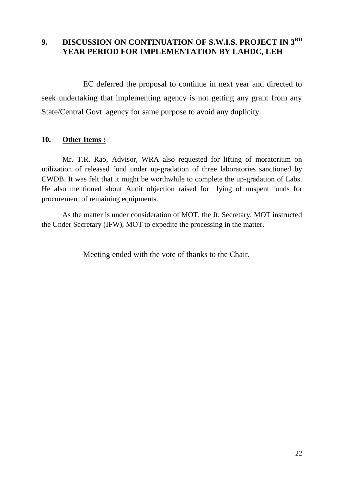#### **9. DISCUSSION ON CONTINUATION OF S.W.I.S. PROJECT IN 3RD YEAR PERIOD FOR IMPLEMENTATION BY LAHDC, LEH**

EC deferred the proposal to continue in next year and directed to seek undertaking that implementing agency is not getting any grant from any State/Central Govt. agency for same purpose to avoid any duplicity.

#### **10. Other Items :**

Mr. T.R. Rao, Advisor, WRA also requested for lifting of moratorium on utilization of released fund under up-gradation of three laboratories sanctioned by CWDB. It was felt that it might be worthwhile to complete the up-gradation of Labs. He also mentioned about Audit objection raised for lying of unspent funds for procurement of remaining equipments.

As the matter is under consideration of MOT, the Jt. Secretary, MOT instructed the Under Secretary (IFW), MOT to expedite the processing in the matter.

Meeting ended with the vote of thanks to the Chair.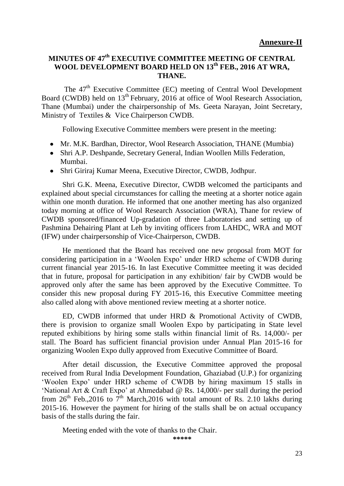#### **MINUTES OF 47th EXECUTIVE COMMITTEE MEETING OF CENTRAL WOOL DEVELOPMENT BOARD HELD ON 13th FEB., 2016 AT WRA, THANE.**

The 47<sup>th</sup> Executive Committee (EC) meeting of Central Wool Development Board (CWDB) held on 13<sup>th</sup> February, 2016 at office of Wool Research Association, Thane (Mumbai) under the chairpersonship of Ms. Geeta Narayan, Joint Secretary, Ministry of Textiles & Vice Chairperson CWDB.

Following Executive Committee members were present in the meeting:

- Mr. M.K. Bardhan, Director, Wool Research Association, THANE (Mumbia)
- Shri A.P. Deshpande, Secretary General, Indian Woollen Mills Federation, Mumbai.
- Shri Giriraj Kumar Meena, Executive Director, CWDB, Jodhpur.

Shri G.K. Meena, Executive Director, CWDB welcomed the participants and explained about special circumstances for calling the meeting at a shorter notice again within one month duration. He informed that one another meeting has also organized today morning at office of Wool Research Association (WRA), Thane for review of CWDB sponsored/financed Up-gradation of three Laboratories and setting up of Pashmina Dehairing Plant at Leh by inviting officers from LAHDC, WRA and MOT (IFW) under chairpersonship of Vice-Chairperson, CWDB.

He mentioned that the Board has received one new proposal from MOT for considering participation in a 'Woolen Expo' under HRD scheme of CWDB during current financial year 2015-16. In last Executive Committee meeting it was decided that in future, proposal for participation in any exhibition/ fair by CWDB would be approved only after the same has been approved by the Executive Committee. To consider this new proposal during FY 2015-16, this Executive Committee meeting also called along with above mentioned review meeting at a shorter notice.

ED, CWDB informed that under HRD & Promotional Activity of CWDB, there is provision to organize small Woolen Expo by participating in State level reputed exhibitions by hiring some stalls within financial limit of Rs. 14,000/- per stall. The Board has sufficient financial provision under Annual Plan 2015-16 for organizing Woolen Expo dully approved from Executive Committee of Board.

After detail discussion, the Executive Committee approved the proposal received from Rural India Development Foundation, Ghaziabad (U.P.) for organizing "Woolen Expo" under HRD scheme of CWDB by hiring maximum 15 stalls in 'National Art & Craft Expo' at Ahmedabad  $\omega$  Rs. 14,000/- per stall during the period from  $26^{th}$  Feb., 2016 to  $7^{th}$  March, 2016 with total amount of Rs. 2.10 lakhs during 2015-16. However the payment for hiring of the stalls shall be on actual occupancy basis of the stalls during the fair.

Meeting ended with the vote of thanks to the Chair.

**\*\*\*\*\***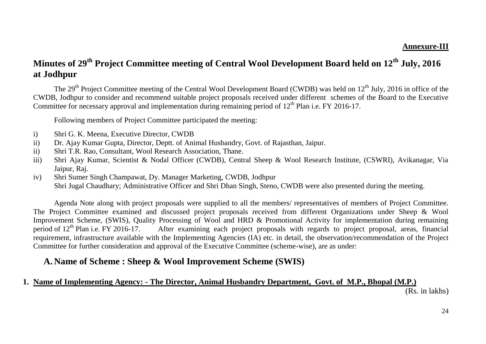#### **Annexure-III**

## **Minutes of 29th Project Committee meeting of Central Wool Development Board held on 12th July, 2016 at Jodhpur**

The  $29<sup>th</sup>$  Project Committee meeting of the Central Wool Development Board (CWDB) was held on  $12<sup>th</sup>$  July, 2016 in office of the CWDB, Jodhpur to consider and recommend suitable project proposals received under different schemes of the Board to the Executive Committee for necessary approval and implementation during remaining period of  $12<sup>th</sup>$  Plan i.e. FY 2016-17.

Following members of Project Committee participated the meeting:

- i) Shri G. K. Meena, Executive Director, CWDB
- ii) Dr. Ajay Kumar Gupta, Director, Deptt. of Animal Husbandry, Govt. of Rajasthan, Jaipur.
- ii) Shri T.R. Rao, Consultant, Wool Research Association, Thane.
- iii) Shri Ajay Kumar, Scientist & Nodal Officer (CWDB), Central Sheep & Wool Research Institute, (CSWRI), Avikanagar, Via Jaipur, Raj.
- iv) Shri Sumer Singh Champawat, Dy. Manager Marketing, CWDB, Jodhpur Shri Jugal Chaudhary; Administrative Officer and Shri Dhan Singh, Steno, CWDB were also presented during the meeting.

Agenda Note along with project proposals were supplied to all the members/ representatives of members of Project Committee. The Project Committee examined and discussed project proposals received from different Organizations under Sheep & Wool Improvement Scheme, (SWIS), Quality Processing of Wool and HRD & Promotional Activity for implementation during remaining period of  $12^{th}$  Plan i.e. FY 2016-17. After examining each project proposals with regards to project proposal, areas, financial requirement, infrastructure available with the Implementing Agencies (IA) etc. in detail, the observation/recommendation of the Project Committee for further consideration and approval of the Executive Committee (scheme-wise), are as under:

### **A. Name of Scheme : Sheep & Wool Improvement Scheme (SWIS)**

#### **1. Name of Implementing Agency: - The Director, Animal Husbandry Department, Govt. of M.P., Bhopal (M.P.)**

(Rs. in lakhs)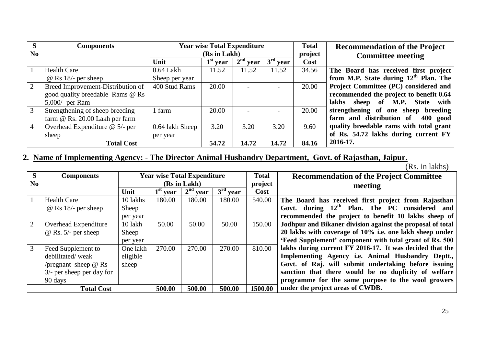| S        | <b>Components</b>                 |                 | <b>Year wise Total Expenditure</b> |            |            |         | <b>Recommendation of the Project</b>    |
|----------|-----------------------------------|-----------------|------------------------------------|------------|------------|---------|-----------------------------------------|
| $\bf No$ |                                   |                 | (Rs in Lakh)                       |            |            | project | <b>Committee meeting</b>                |
|          |                                   | Unit            | $1st$ year                         | $2nd$ year | $3rd$ year | Cost    |                                         |
|          | <b>Health Care</b>                | $0.64$ Lakh     | 11.52                              | 11.52      | 11.52      | 34.56   | The Board has received first project    |
|          | $@$ Rs 18/- per sheep             | Sheep per year  |                                    |            |            |         | from M.P. State during $12th$ Plan. The |
|          | Breed Improvement-Distribution of | 400 Stud Rams   | 20.00                              |            |            | 20.00   | Project Committee (PC) considered and   |
|          | good quality breedable Rams @ Rs  |                 |                                    |            |            |         | recommended the project to benefit 0.64 |
|          | $5,000$ /- per Ram                |                 |                                    |            |            |         | sheep of M.P. State with<br>lakhs       |
|          | Strengthening of sheep breeding   | l farm          | 20.00                              |            |            | 20.00   | strengthening of one sheep breeding     |
|          | farm $@$ Rs. 20.00 Lakh per farm  |                 |                                    |            |            |         | farm and distribution of<br>400 good    |
|          | Overhead Expenditure $@$ 5/- per  | 0.64 lakh Sheep | 3.20                               | 3.20       | 3.20       | 9.60    | quality breedable rams with total grant |
|          | sheep                             | per year        |                                    |            |            |         | of Rs. 54.72 lakhs during current FY    |
|          | <b>Total Cost</b>                 |                 | 54.72                              | 14.72      | 14.72      | 84.16   | 2016-17.                                |

## **2. Name of Implementing Agency: - The Director Animal Husbandry Department, Govt. of Rajasthan, Jaipur.**

(Rs. in lakhs)

| <sub>S</sub>   | <b>Components</b>            |          |            | <b>Year wise Total Expenditure</b> |            | <b>Total</b> | <b>Recommendation of the Project Committee</b>             |
|----------------|------------------------------|----------|------------|------------------------------------|------------|--------------|------------------------------------------------------------|
| N <sub>0</sub> |                              |          |            | (Rs in Lakh)                       |            | project      | meeting                                                    |
|                |                              | Unit     | $1st$ year | $2nd$ year                         | $3rd$ year | Cost         |                                                            |
|                | <b>Health Care</b>           | 10 lakhs | 180.00     | 180.00                             | 180.00     | 540.00       | The Board has received first project from Rajasthan        |
|                | $\omega$ Rs 18/- per sheep   | Sheep    |            |                                    |            |              | Govt. during 12 <sup>th</sup> Plan. The PC considered and  |
|                |                              | per year |            |                                    |            |              | recommended the project to benefit 10 lakhs sheep of       |
| 2              | Overhead Expenditure         | 10 lakh  | 50.00      | 50.00                              | 50.00      | 150.00       | Jodhpur and Bikaner division against the proposal of total |
|                | $@$ Rs. 5/- per sheep        | Sheep    |            |                                    |            |              | 20 lakhs with coverage of 10% i.e. one lakh sheep under    |
|                |                              | per year |            |                                    |            |              | 'Feed Supplement' component with total grant of Rs. 500    |
| 3              | Feed Supplement to           | One lakh | 270.00     | 270.00                             | 270.00     | 810.00       | lakhs during current FY 2016-17. It was decided that the   |
|                | debilitated/weak             | eligible |            |                                    |            |              | Implementing Agency i.e. Animal Husbandry Deptt.,          |
|                | /pregnant sheep $\omega$ Rs  | sheep    |            |                                    |            |              | Govt. of Raj. will submit undertaking before issuing       |
|                | $3/$ - per sheep per day for |          |            |                                    |            |              | sanction that there would be no duplicity of welfare       |
|                | 90 days                      |          |            |                                    |            |              | programme for the same purpose to the wool growers         |
|                | <b>Total Cost</b>            |          | 500.00     | 500.00                             | 500.00     | 1500.00      | under the project areas of CWDB.                           |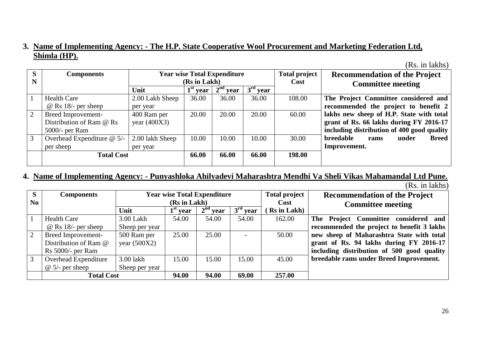#### **3. Name of Implementing Agency: - The H.P. State Cooperative Wool Procurement and Marketing Federation Ltd, Shimla (HP).**

(Rs. in lakhs)

| S<br>N | <b>Components</b>            |                 | (Rs in Lakh) | <b>Year wise Total Expenditure</b> |            | <b>Total project</b><br>Cost | <b>Recommendation of the Project</b><br><b>Committee meeting</b> |
|--------|------------------------------|-----------------|--------------|------------------------------------|------------|------------------------------|------------------------------------------------------------------|
|        |                              | Unit            | $1st$ year   | $2^{nd}$<br>vear                   | $3rd$ year |                              |                                                                  |
|        | <b>Health Care</b>           | 2.00 Lakh Sheep | 36.00        | 36.00                              | 36.00      | 108.00                       | The Project Committee considered and                             |
|        | $@$ Rs 18/- per sheep        | per year        |              |                                    |            |                              | recommended the project to benefit 2                             |
|        | Breed Improvement-           | 400 Ram per     | 20.00        | 20.00                              | 20.00      | 60.00                        | lakhs new sheep of H.P. State with total                         |
|        | Distribution of Ram @ Rs     | year $(400X3)$  |              |                                    |            |                              | grant of Rs. 66 lakhs during FY 2016-17                          |
|        | $5000/-$ per Ram             |                 |              |                                    |            |                              | including distribution of 400 good quality                       |
|        | Overhead Expenditure $@$ 5/- | 2.00 lakh Sheep | 10.00        | 10.00                              | 10.00      | 30.00                        | breedable<br><b>Breed</b><br>under<br>rams                       |
|        | per sheep                    | per year        |              |                                    |            |                              | Improvement.                                                     |
|        | <b>Total Cost</b>            |                 |              | 66.00                              | 66.00      | 198.00                       |                                                                  |
|        |                              |                 |              |                                    |            |                              |                                                                  |

#### **4. Name of Implementing Agency: - Punyashloka Ahilyadevi Maharashtra Mendhi Va Sheli Vikas Mahamandal Ltd Pune.**

|  | (Rs. in lakhs) |
|--|----------------|
|  |                |

| S        | Components                  |                | <b>Year wise Total Expenditure</b> |            |            |             | <b>Total project</b><br><b>Recommendation of the Project</b> |
|----------|-----------------------------|----------------|------------------------------------|------------|------------|-------------|--------------------------------------------------------------|
| $\bf No$ |                             |                | (Rs in Lakh)                       |            |            | Cost        | <b>Committee meeting</b>                                     |
|          |                             | Unit           | $1st$ year                         | $2nd$ year | $3rd$ year | Rs in Lakh) |                                                              |
|          | <b>Health Care</b>          | 3.00 Lakh      | 54.00                              | 54.00      | 54.00      | 162.00      | The Project Committee considered and                         |
|          | $\omega$ Rs 18/- per sheep  | Sheep per year |                                    |            |            |             | recommended the project to benefit 3 lakhs                   |
| 2        | <b>Breed Improvement-</b>   | 500 Ram per    | 25.00                              | 25.00      |            | 50.00       | new sheep of Maharashtra State with total                    |
|          | Distribution of Ram @       | year $(500X2)$ |                                    |            |            |             | grant of Rs. 94 lakhs during FY 2016-17                      |
|          | $Rs$ 5000/- per Ram         |                |                                    |            |            |             | including distribution of 500 good quality                   |
| 3        | <b>Overhead Expenditure</b> | 3.00 lakh      | 15.00                              | 15.00      | 15.00      | 45.00       | breedable rams under Breed Improvement.                      |
|          | $\omega$ 5/- per sheep      | Sheep per year |                                    |            |            |             |                                                              |
|          | <b>Total Cost</b>           |                | 94.00                              | 94.00      | 69.00      | 257.00      |                                                              |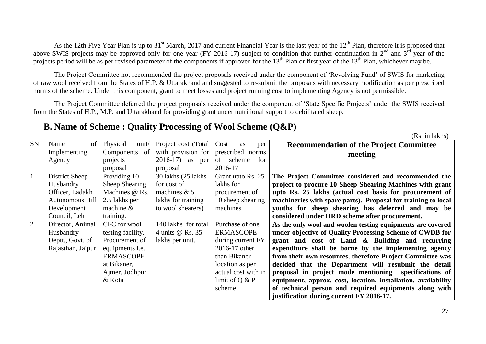As the 12th Five Year Plan is up to 31<sup>st</sup> March, 2017 and current Financial Year is the last year of the 12<sup>th</sup> Plan, therefore it is proposed that above SWIS projects may be approved only for one year (FY 2016-17) subject to condition that further continuation in  $2<sup>nd</sup>$  and  $3<sup>rd</sup>$  year of the projects period will be as per revised parameter of the components if approved for the 13<sup>th</sup> Plan or first year of the 13<sup>th</sup> Plan, whichever may be.

The Project Committee not recommended the project proposals received under the component of "Revolving Fund" of SWIS for marketing of raw wool received from the States of H.P. & Uttarakhand and suggested to re-submit the proposals with necessary modification as per prescribed norms of the scheme. Under this component, grant to meet losses and project running cost to implementing Agency is not permissible.

The Project Committee deferred the project proposals received under the component of 'State Specific Projects' under the SWIS received from the States of H.P., M.P. and Uttarakhand for providing grant under nutritional support to debilitated sheep.

### **B. Name of Scheme : Quality Processing of Wool Scheme (Q&P)**

(Rs. in lakhs)

| SN             | Name<br>of        | Physical<br>unit/      | Project cost (Total | Cost<br>as<br>per   | <b>Recommendation of the Project Committee</b>                |
|----------------|-------------------|------------------------|---------------------|---------------------|---------------------------------------------------------------|
|                | Implementing      | Components of          | with provision for  | prescribed norms    | meeting                                                       |
|                | Agency            | projects               | $2016-17$ as per    | of<br>scheme<br>for |                                                               |
|                |                   | proposal               | proposal            | 2016-17             |                                                               |
|                | District Sheep    | Providing 10           | 30 lakhs (25 lakhs) | Grant upto Rs. 25   | The Project Committee considered and recommended the          |
|                | Husbandry         | Sheep Shearing         | for cost of         | lakhs for           | project to procure 10 Sheep Shearing Machines with grant      |
|                | Officer, Ladakh   | Machines @ Rs.         | machines $& 5$      | procurement of      | upto Rs. 25 lakhs (actual cost basis for procurement of       |
|                | Autonomous Hill   | 2.5 lakhs per          | lakhs for training  | 10 sheep shearing   | machineries with spare parts). Proposal for training to local |
|                | Development       | machine $\&$           | to wool shearers)   | machines            | youths for sheep shearing has deferred and may be             |
|                | Council, Leh      | training.              |                     |                     | considered under HRD scheme after procurement.                |
| $\overline{2}$ | Director, Animal  | CFC for wool           | 140 lakhs for total | Purchase of one     | As the only wool and woolen testing equipments are covered    |
|                | Husbandry         | testing facility.      | 4 units @ Rs. 35    | <b>ERMASCOPE</b>    | under objective of Quality Processing Scheme of CWDB for      |
|                | Deptt., Govt. of  | Procurement of         | lakhs per unit.     | during current FY   | grant and cost of Land & Building and recurring               |
|                | Rajasthan, Jaipur | equipments <i>i.e.</i> |                     | 2016-17 other       | expenditure shall be borne by the implementing agency         |
|                |                   | <b>ERMASCOPE</b>       |                     | than Bikaner        | from their own resources, therefore Project Committee was     |
|                |                   | at Bikaner,            |                     | location as per     | decided that the Department will resubmit the detail          |
|                |                   | Ajmer, Jodhpur         |                     | actual cost with in | proposal in project mode mentioning specifications of         |
|                |                   | & Kota                 |                     | limit of $Q & P$    | equipment, approx. cost, location, installation, availability |
|                |                   |                        |                     | scheme.             | of technical person and required equipments along with        |
|                |                   |                        |                     |                     | justification during current FY 2016-17.                      |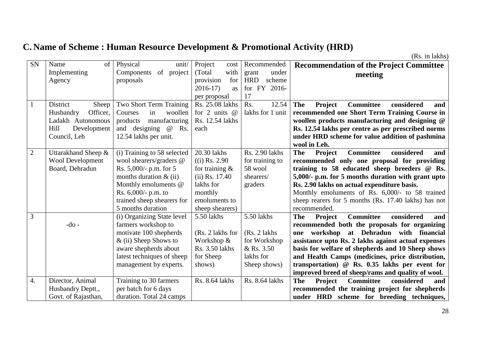# **C. Name of Scheme : Human Resource Development & Promotional Activity (HRD)**

(Rs. in lakhs)

| <b>SN</b>    | of<br>Name               | Physical<br>unit/           | Project<br>cost   | Recommended          | <b>Recommendation of the Project Committee</b>                        |
|--------------|--------------------------|-----------------------------|-------------------|----------------------|-----------------------------------------------------------------------|
|              | Implementing             | of project<br>Components    | (Total)<br>with   | under<br>grant       | meeting                                                               |
|              | Agency                   | proposals                   | for<br>provision  | <b>HRD</b><br>scheme |                                                                       |
|              |                          |                             | $2016-17$<br>as   | for FY 2016-         |                                                                       |
|              |                          |                             | per proposal      | 17                   |                                                                       |
|              | <b>District</b><br>Sheep | Two Short Term Training     | Rs. 25.08 lakhs   | Rs.<br>12.54         | Project<br><b>Committee</b><br>The<br>considered<br>and               |
|              | Officer,<br>Husbandry    | Courses<br>in<br>woollen    | for 2 units $@$   | lakhs for 1 unit     | recommended one Short Term Training Course in                         |
|              | Ladakh Autonomous        | manufacturing<br>products   | Rs. 12.54 lakhs   |                      | woollen products manufacturing and designing @                        |
|              | Hill<br>Development      | and designing<br>@<br>Rs.   | each              |                      | Rs. 12.54 lakhs per centre as per prescribed norms                    |
|              | Council, Leh             | 12.54 lakhs per unit.       |                   |                      | under HRD scheme for value addition of pashmina                       |
|              |                          |                             |                   |                      | wool in Leh.                                                          |
| $\mathbf{2}$ | Uttarakhand Sheep &      | (i) Training to 58 selected | 20.30 lakhs       | Rs. 2.90 lakhs       | <b>Committee</b><br>considered<br><b>The</b><br><b>Project</b><br>and |
|              | <b>Wool Development</b>  | wool shearers/graders @     | $(i)$ Rs. 2.90    | for training to      | recommended only one proposal for providing                           |
|              | Board, Dehradun          | Rs. 5,000/- p.m. for 5      | for training $\&$ | 58 wool              | training to 58 educated sheep breeders @ Rs.                          |
|              |                          | months duration $\&$ (ii)   | $(ii)$ Rs. 17.40  | shearers/            | 5,000/- p.m. for 5 months duration with grant upto                    |
|              |                          | Monthly emoluments @        | lakhs for         | graders              | Rs. 2.90 lakhs on actual expenditure basis.                           |
|              |                          | Rs. $6,000/$ - p.m. to      | monthly           |                      | Monthly emoluments of Rs. 6,000/- to 58 trained                       |
|              |                          | trained sheep shearers for  | emoluments to     |                      | sheep rearers for 5 months (Rs. 17.40 lakhs) has not                  |
|              |                          | 5 months duration           | sheep shearers)   |                      | recommended.                                                          |
| 3            |                          | (i) Organizing State level  | 5.50 lakhs        | 5.50 lakhs           | <b>The</b><br><b>Committee</b><br>considered<br><b>Project</b><br>and |
|              | $-do$ -                  | farmers workshop to         |                   |                      | recommended both the proposals for organizing                         |
|              |                          | motivate 100 shepherds      | (Rs. 2 lakhs for  | (Rs. 2 lakhs)        | one workshop at Dehradun with financial                               |
|              |                          | $\&$ (ii) Sheep Shows to    | Workshop &        | for Workshop         | assistance upto Rs. 2 lakhs against actual expenses                   |
|              |                          | aware shepherds about       | Rs. 3.50 lakhs    | & Rs. 3.50           | basis for welfare of shepherds and 10 Sheep shows                     |
|              |                          | latest techniques of sheep  | for Sheep         | lakhs for            | and Health Camps (medicines, price distribution,                      |
|              |                          | management by experts.      | shows)            | Sheep shows)         | transportation) @ Rs. 0.35 lakhs per event for                        |
|              |                          |                             |                   |                      | improved breed of sheep/rams and quality of wool.                     |
| 4.           | Director, Animal         | Training to 30 farmers      | Rs. 8.64 lakhs    | Rs. 8.64 lakhs       | considered<br><b>The</b><br>Project<br><b>Committee</b><br>and        |
|              | Husbandry Deptt.,        | per batch for 6 days        |                   |                      | recommended the training project for shepherds                        |
|              | Govt. of Rajasthan,      | duration. Total 24 camps    |                   |                      | under HRD scheme for breeding techniques,                             |